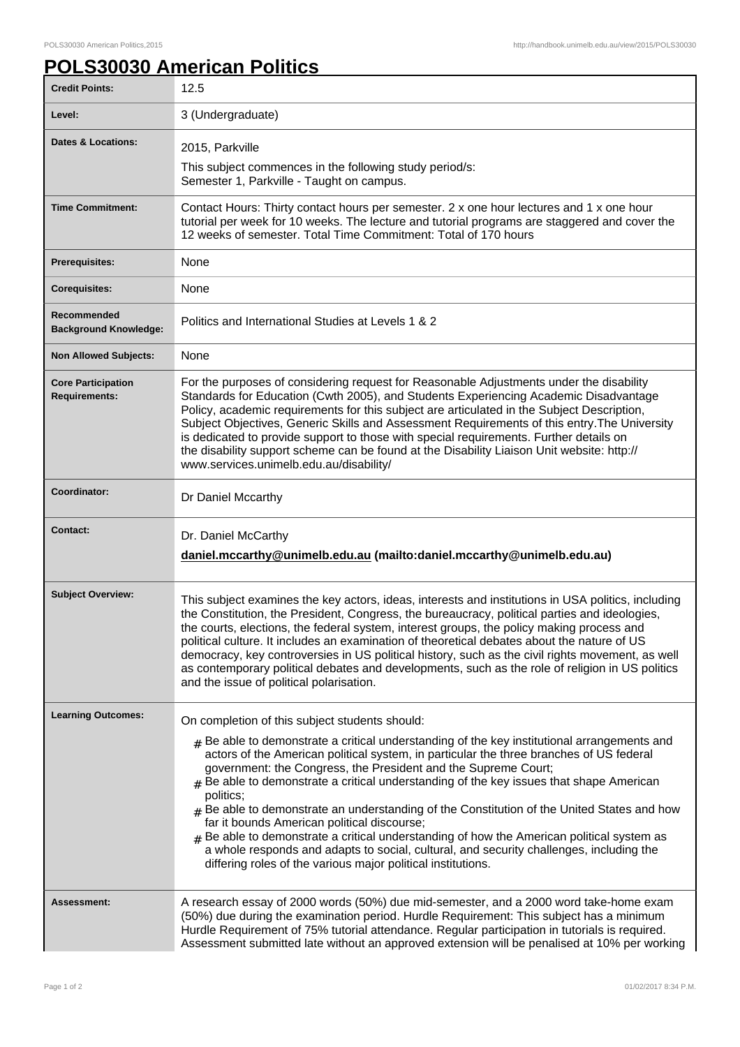## **POLS30030 American Politics**

| <b>Credit Points:</b>                             | 12.5                                                                                                                                                                                                                                                                                                                                                                                                                                                                                                                                                                                                                                                                                                                                                                                                                             |
|---------------------------------------------------|----------------------------------------------------------------------------------------------------------------------------------------------------------------------------------------------------------------------------------------------------------------------------------------------------------------------------------------------------------------------------------------------------------------------------------------------------------------------------------------------------------------------------------------------------------------------------------------------------------------------------------------------------------------------------------------------------------------------------------------------------------------------------------------------------------------------------------|
| Level:                                            | 3 (Undergraduate)                                                                                                                                                                                                                                                                                                                                                                                                                                                                                                                                                                                                                                                                                                                                                                                                                |
| <b>Dates &amp; Locations:</b>                     | 2015, Parkville                                                                                                                                                                                                                                                                                                                                                                                                                                                                                                                                                                                                                                                                                                                                                                                                                  |
|                                                   | This subject commences in the following study period/s:<br>Semester 1, Parkville - Taught on campus.                                                                                                                                                                                                                                                                                                                                                                                                                                                                                                                                                                                                                                                                                                                             |
| <b>Time Commitment:</b>                           | Contact Hours: Thirty contact hours per semester. 2 x one hour lectures and 1 x one hour<br>tutorial per week for 10 weeks. The lecture and tutorial programs are staggered and cover the<br>12 weeks of semester. Total Time Commitment: Total of 170 hours                                                                                                                                                                                                                                                                                                                                                                                                                                                                                                                                                                     |
| <b>Prerequisites:</b>                             | None                                                                                                                                                                                                                                                                                                                                                                                                                                                                                                                                                                                                                                                                                                                                                                                                                             |
| <b>Corequisites:</b>                              | None                                                                                                                                                                                                                                                                                                                                                                                                                                                                                                                                                                                                                                                                                                                                                                                                                             |
| Recommended<br><b>Background Knowledge:</b>       | Politics and International Studies at Levels 1 & 2                                                                                                                                                                                                                                                                                                                                                                                                                                                                                                                                                                                                                                                                                                                                                                               |
| <b>Non Allowed Subjects:</b>                      | None                                                                                                                                                                                                                                                                                                                                                                                                                                                                                                                                                                                                                                                                                                                                                                                                                             |
| <b>Core Participation</b><br><b>Requirements:</b> | For the purposes of considering request for Reasonable Adjustments under the disability<br>Standards for Education (Cwth 2005), and Students Experiencing Academic Disadvantage<br>Policy, academic requirements for this subject are articulated in the Subject Description,<br>Subject Objectives, Generic Skills and Assessment Requirements of this entry. The University<br>is dedicated to provide support to those with special requirements. Further details on<br>the disability support scheme can be found at the Disability Liaison Unit website: http://<br>www.services.unimelb.edu.au/disability/                                                                                                                                                                                                                 |
| Coordinator:                                      | Dr Daniel Mccarthy                                                                                                                                                                                                                                                                                                                                                                                                                                                                                                                                                                                                                                                                                                                                                                                                               |
| <b>Contact:</b>                                   | Dr. Daniel McCarthy<br>daniel.mccarthy@unimelb.edu.au (mailto:daniel.mccarthy@unimelb.edu.au)                                                                                                                                                                                                                                                                                                                                                                                                                                                                                                                                                                                                                                                                                                                                    |
| <b>Subject Overview:</b>                          | This subject examines the key actors, ideas, interests and institutions in USA politics, including<br>the Constitution, the President, Congress, the bureaucracy, political parties and ideologies,<br>the courts, elections, the federal system, interest groups, the policy making process and<br>political culture. It includes an examination of theoretical debates about the nature of US<br>democracy, key controversies in US political history, such as the civil rights movement, as well<br>as contemporary political debates and developments, such as the role of religion in US politics<br>and the issue of political polarisation.                                                                                                                                                                               |
| <b>Learning Outcomes:</b>                         | On completion of this subject students should:<br>$#$ Be able to demonstrate a critical understanding of the key institutional arrangements and<br>actors of the American political system, in particular the three branches of US federal<br>government: the Congress, the President and the Supreme Court;<br>Be able to demonstrate a critical understanding of the key issues that shape American<br>#<br>politics;<br>$_{\#}$ Be able to demonstrate an understanding of the Constitution of the United States and how<br>far it bounds American political discourse;<br>Be able to demonstrate a critical understanding of how the American political system as<br>a whole responds and adapts to social, cultural, and security challenges, including the<br>differing roles of the various major political institutions. |
| Assessment:                                       | A research essay of 2000 words (50%) due mid-semester, and a 2000 word take-home exam<br>(50%) due during the examination period. Hurdle Requirement: This subject has a minimum<br>Hurdle Requirement of 75% tutorial attendance. Regular participation in tutorials is required.<br>Assessment submitted late without an approved extension will be penalised at 10% per working                                                                                                                                                                                                                                                                                                                                                                                                                                               |